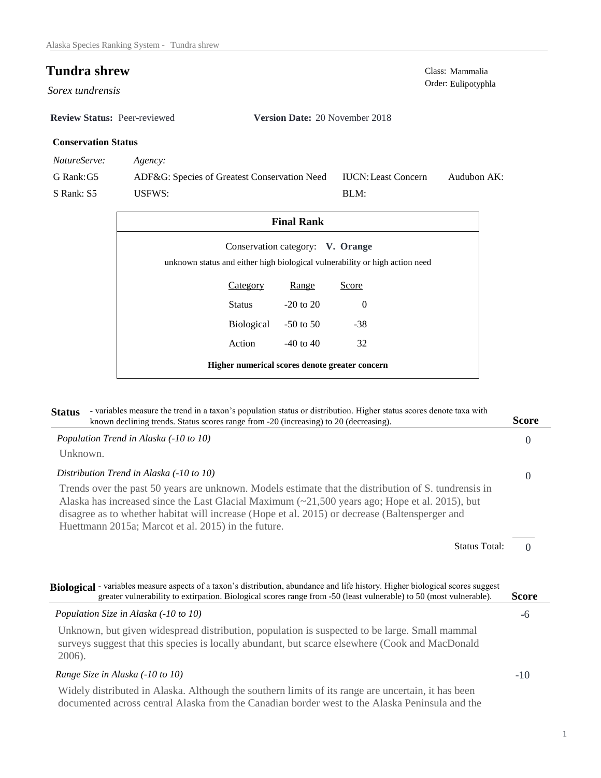$S$ orex tundrensis

**Review Status:** Peer-reviewed **Version Date:** 20 November 2018

## **Conservation Status**

*NatureServe: Agency:*

G Rank:G5 S Rank: S5 ADF&G: Species of Greatest Conservation Need USFWS: Audubon AK: BLM: IUCN:Least Concern

| <b>Final Rank</b>                                                                                               |                 |               |          |  |  |  |  |
|-----------------------------------------------------------------------------------------------------------------|-----------------|---------------|----------|--|--|--|--|
| Conservation category: V. Orange<br>unknown status and either high biological vulnerability or high action need |                 |               |          |  |  |  |  |
|                                                                                                                 | <b>Category</b> | Range         | Score    |  |  |  |  |
|                                                                                                                 | Status          | $-20$ to $20$ | $\Omega$ |  |  |  |  |
|                                                                                                                 | Biological      | $-50$ to 50   | $-38$    |  |  |  |  |
|                                                                                                                 | Action          | $-40$ to $40$ | 32       |  |  |  |  |
| Higher numerical scores denote greater concern                                                                  |                 |               |          |  |  |  |  |

| - variables measure the trend in a taxon's population status or distribution. Higher status scores denote taxa with<br><b>Status</b><br>known declining trends. Status scores range from -20 (increasing) to 20 (decreasing).                                                                                                                                           | <b>Score</b> |
|-------------------------------------------------------------------------------------------------------------------------------------------------------------------------------------------------------------------------------------------------------------------------------------------------------------------------------------------------------------------------|--------------|
| Population Trend in Alaska (-10 to 10)                                                                                                                                                                                                                                                                                                                                  | $\Omega$     |
| Unknown.                                                                                                                                                                                                                                                                                                                                                                |              |
| Distribution Trend in Alaska (-10 to 10)                                                                                                                                                                                                                                                                                                                                | $\Omega$     |
| Trends over the past 50 years are unknown. Models estimate that the distribution of S. tundrensis in<br>Alaska has increased since the Last Glacial Maximum $\approx$ 21,500 years ago; Hope et al. 2015), but<br>disagree as to whether habitat will increase (Hope et al. 2015) or decrease (Baltensperger and<br>Huettmann 2015a; Marcot et al. 2015) in the future. |              |
| <b>Status Total:</b>                                                                                                                                                                                                                                                                                                                                                    | $\Omega$     |
| Biological - variables measure aspects of a taxon's distribution, abundance and life history. Higher biological scores suggest<br>greater vulnerability to extirpation. Biological scores range from -50 (least vulnerable) to 50 (most vulnerable).                                                                                                                    | <b>Score</b> |
| Population Size in Alaska (-10 to 10)                                                                                                                                                                                                                                                                                                                                   | -6           |
| Unknown, but given widespread distribution, population is suspected to be large. Small mammal<br>surveys suggest that this species is locally abundant, but scarce elsewhere (Cook and MacDonald<br>2006).                                                                                                                                                              |              |
| Range Size in Alaska (-10 to 10)                                                                                                                                                                                                                                                                                                                                        | -10          |
| Widely distributed in Alaska. Although the southern limits of its range are uncertain, it has been<br>documented across central Alaska from the Canadian border west to the Alaska Peninsula and the                                                                                                                                                                    |              |

**Tundra shrew** Class: Mammalia Class: Mammalia Class: Mammalia Class: Mammalia Class: Mammalia Class: 2001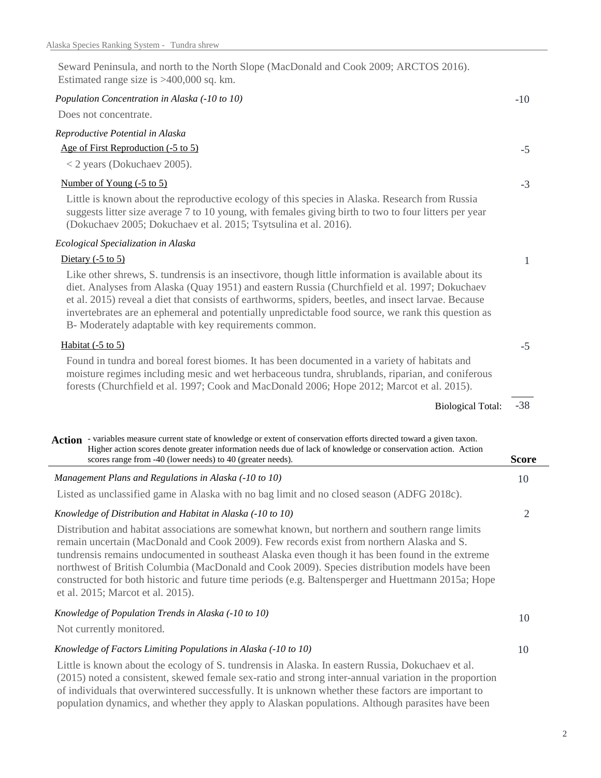| Seward Peninsula, and north to the North Slope (MacDonald and Cook 2009; ARCTOS 2016).<br>Estimated range size is $>400,000$ sq. km.                                                                                                                                                                                                                                                                                                                                                                                                            |              |
|-------------------------------------------------------------------------------------------------------------------------------------------------------------------------------------------------------------------------------------------------------------------------------------------------------------------------------------------------------------------------------------------------------------------------------------------------------------------------------------------------------------------------------------------------|--------------|
| Population Concentration in Alaska (-10 to 10)                                                                                                                                                                                                                                                                                                                                                                                                                                                                                                  | $-10$        |
| Does not concentrate.                                                                                                                                                                                                                                                                                                                                                                                                                                                                                                                           |              |
| Reproductive Potential in Alaska                                                                                                                                                                                                                                                                                                                                                                                                                                                                                                                |              |
| Age of First Reproduction (-5 to 5)                                                                                                                                                                                                                                                                                                                                                                                                                                                                                                             | $-5$         |
| $<$ 2 years (Dokuchaev 2005).                                                                                                                                                                                                                                                                                                                                                                                                                                                                                                                   |              |
| Number of Young (-5 to 5)                                                                                                                                                                                                                                                                                                                                                                                                                                                                                                                       | $-3$         |
| Little is known about the reproductive ecology of this species in Alaska. Research from Russia<br>suggests litter size average 7 to 10 young, with females giving birth to two to four litters per year<br>(Dokuchaev 2005; Dokuchaev et al. 2015; Tsytsulina et al. 2016).                                                                                                                                                                                                                                                                     |              |
| Ecological Specialization in Alaska                                                                                                                                                                                                                                                                                                                                                                                                                                                                                                             |              |
| Dietary $(-5 \text{ to } 5)$                                                                                                                                                                                                                                                                                                                                                                                                                                                                                                                    | 1            |
| Like other shrews, S. tundrensis is an insectivore, though little information is available about its<br>diet. Analyses from Alaska (Quay 1951) and eastern Russia (Churchfield et al. 1997; Dokuchaev<br>et al. 2015) reveal a diet that consists of earthworms, spiders, beetles, and insect larvae. Because<br>invertebrates are an ephemeral and potentially unpredictable food source, we rank this question as<br>B- Moderately adaptable with key requirements common.                                                                    |              |
| Habitat $(-5 \text{ to } 5)$                                                                                                                                                                                                                                                                                                                                                                                                                                                                                                                    | $-5$         |
| Found in tundra and boreal forest biomes. It has been documented in a variety of habitats and<br>moisture regimes including mesic and wet herbaceous tundra, shrublands, riparian, and coniferous<br>forests (Churchfield et al. 1997; Cook and MacDonald 2006; Hope 2012; Marcot et al. 2015).                                                                                                                                                                                                                                                 |              |
| <b>Biological Total:</b>                                                                                                                                                                                                                                                                                                                                                                                                                                                                                                                        | $-38$        |
| Action - variables measure current state of knowledge or extent of conservation efforts directed toward a given taxon.<br>Higher action scores denote greater information needs due of lack of knowledge or conservation action. Action<br>scores range from -40 (lower needs) to 40 (greater needs).                                                                                                                                                                                                                                           | <b>Score</b> |
| Management Plans and Regulations in Alaska (-10 to 10)                                                                                                                                                                                                                                                                                                                                                                                                                                                                                          | 10           |
| Listed as unclassified game in Alaska with no bag limit and no closed season (ADFG 2018c).                                                                                                                                                                                                                                                                                                                                                                                                                                                      |              |
| Knowledge of Distribution and Habitat in Alaska (-10 to 10)                                                                                                                                                                                                                                                                                                                                                                                                                                                                                     | 2            |
| Distribution and habitat associations are somewhat known, but northern and southern range limits<br>remain uncertain (MacDonald and Cook 2009). Few records exist from northern Alaska and S.<br>tundrensis remains undocumented in southeast Alaska even though it has been found in the extreme<br>northwest of British Columbia (MacDonald and Cook 2009). Species distribution models have been<br>constructed for both historic and future time periods (e.g. Baltensperger and Huettmann 2015a; Hope<br>et al. 2015; Marcot et al. 2015). |              |
| Knowledge of Population Trends in Alaska (-10 to 10)                                                                                                                                                                                                                                                                                                                                                                                                                                                                                            | 10           |
| Not currently monitored.                                                                                                                                                                                                                                                                                                                                                                                                                                                                                                                        |              |
| Knowledge of Factors Limiting Populations in Alaska (-10 to 10)                                                                                                                                                                                                                                                                                                                                                                                                                                                                                 | 10           |
| Little is known shout the seedeay of $S$ tundrance in Algelia. In eastern Bussie, Dela                                                                                                                                                                                                                                                                                                                                                                                                                                                          |              |

Little is known about the ecology of S. tundrensis in Alaska. In eastern Russia, Dokuchaev et al. (2015) noted a consistent, skewed female sex-ratio and strong inter-annual variation in the proportion of individuals that overwintered successfully. It is unknown whether these factors are important to population dynamics, and whether they apply to Alaskan populations. Although parasites have been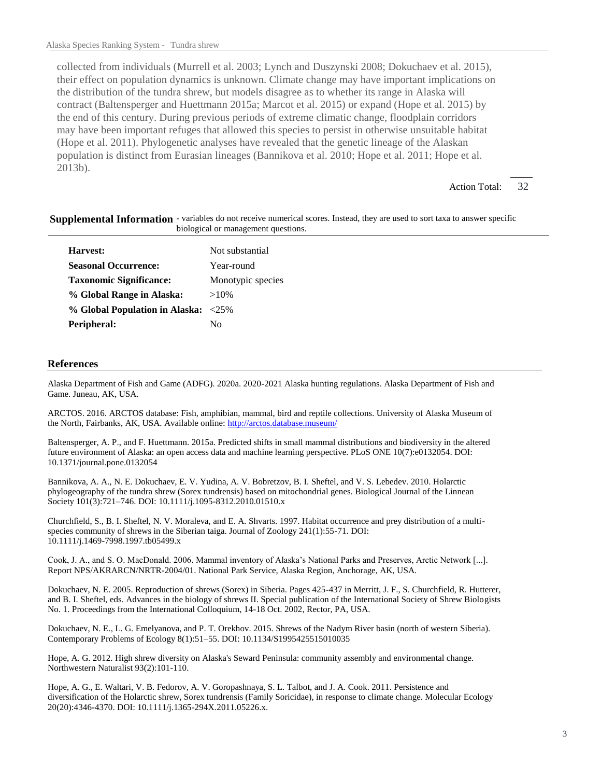collected from individuals (Murrell et al. 2003; Lynch and Duszynski 2008; Dokuchaev et al. 2015), their effect on population dynamics is unknown. Climate change may have important implications on the distribution of the tundra shrew, but models disagree as to whether its range in Alaska will contract (Baltensperger and Huettmann 2015a; Marcot et al. 2015) or expand (Hope et al. 2015) by the end of this century. During previous periods of extreme climatic change, floodplain corridors may have been important refuges that allowed this species to persist in otherwise unsuitable habitat (Hope et al. 2011). Phylogenetic analyses have revealed that the genetic lineage of the Alaskan population is distinct from Eurasian lineages (Bannikova et al. 2010; Hope et al. 2011; Hope et al. 2013b).

> 32 Action Total:

| Supplemental Information - variables do not receive numerical scores. Instead, they are used to sort taxa to answer specific |                                     |  |  |
|------------------------------------------------------------------------------------------------------------------------------|-------------------------------------|--|--|
|                                                                                                                              | biological or management questions. |  |  |

| Not substantial                     |  |  |
|-------------------------------------|--|--|
| Year-round                          |  |  |
| Monotypic species                   |  |  |
| $>10\%$                             |  |  |
| % Global Population in Alaska: <25% |  |  |
| Nο                                  |  |  |
|                                     |  |  |

## **References**

Alaska Department of Fish and Game (ADFG). 2020a. 2020-2021 Alaska hunting regulations. Alaska Department of Fish and Game. Juneau, AK, USA.

ARCTOS. 2016. ARCTOS database: Fish, amphibian, mammal, bird and reptile collections. University of Alaska Museum of the North, Fairbanks, AK, USA. Available online: http://arctos.database.museum/

Baltensperger, A. P., and F. Huettmann. 2015a. Predicted shifts in small mammal distributions and biodiversity in the altered future environment of Alaska: an open access data and machine learning perspective. PLoS ONE 10(7):e0132054. DOI: 10.1371/journal.pone.0132054

Bannikova, A. A., N. E. Dokuchaev, E. V. Yudina, A. V. Bobretzov, B. I. Sheftel, and V. S. Lebedev. 2010. Holarctic phylogeography of the tundra shrew (Sorex tundrensis) based on mitochondrial genes. Biological Journal of the Linnean Society 101(3):721–746. DOI: 10.1111/j.1095-8312.2010.01510.x

Churchfield, S., B. I. Sheftel, N. V. Moraleva, and E. A. Shvarts. 1997. Habitat occurrence and prey distribution of a multispecies community of shrews in the Siberian taiga. Journal of Zoology 241(1):55-71. DOI: 10.1111/j.1469-7998.1997.tb05499.x

Cook, J. A., and S. O. MacDonald. 2006. Mammal inventory of Alaska's National Parks and Preserves, Arctic Network [...]. Report NPS/AKRARCN/NRTR-2004/01. National Park Service, Alaska Region, Anchorage, AK, USA.

Dokuchaev, N. E. 2005. Reproduction of shrews (Sorex) in Siberia. Pages 425-437 in Merritt, J. F., S. Churchfield, R. Hutterer, and B. I. Sheftel, eds. Advances in the biology of shrews II. Special publication of the International Society of Shrew Biologists No. 1. Proceedings from the International Colloquium, 14-18 Oct. 2002, Rector, PA, USA.

Dokuchaev, N. E., L. G. Emelyanova, and P. T. Orekhov. 2015. Shrews of the Nadym River basin (north of western Siberia). Contemporary Problems of Ecology 8(1):51–55. DOI: 10.1134/S1995425515010035

Hope, A. G. 2012. High shrew diversity on Alaska's Seward Peninsula: community assembly and environmental change. Northwestern Naturalist 93(2):101-110.

Hope, A. G., E. Waltari, V. B. Fedorov, A. V. Goropashnaya, S. L. Talbot, and J. A. Cook. 2011. Persistence and diversification of the Holarctic shrew, Sorex tundrensis (Family Soricidae), in response to climate change. Molecular Ecology 20(20):4346-4370. DOI: 10.1111/j.1365-294X.2011.05226.x.